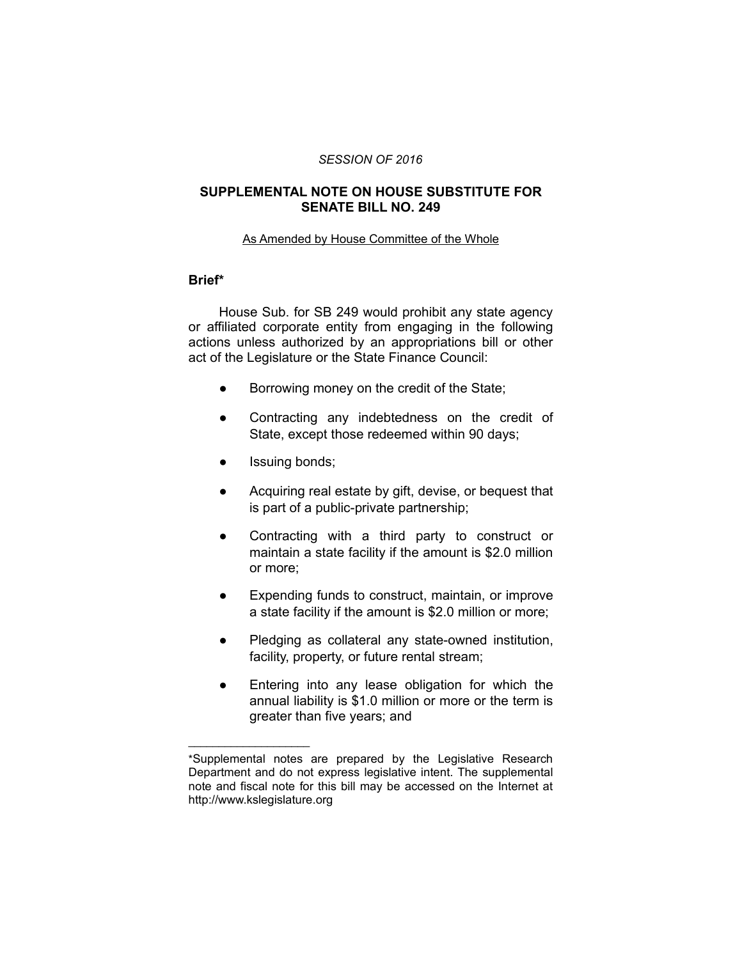### *SESSION OF 2016*

## **SUPPLEMENTAL NOTE ON HOUSE SUBSTITUTE FOR SENATE BILL NO. 249**

#### As Amended by House Committee of the Whole

# **Brief\***

House Sub. for SB 249 would prohibit any state agency or affiliated corporate entity from engaging in the following actions unless authorized by an appropriations bill or other act of the Legislature or the State Finance Council:

- Borrowing money on the credit of the State;
- Contracting any indebtedness on the credit of State, except those redeemed within 90 days;
- Issuing bonds;

 $\overline{\phantom{a}}$  , where  $\overline{\phantom{a}}$  , where  $\overline{\phantom{a}}$ 

- Acquiring real estate by gift, devise, or bequest that is part of a public-private partnership;
- Contracting with a third party to construct or maintain a state facility if the amount is \$2.0 million or more;
- Expending funds to construct, maintain, or improve a state facility if the amount is \$2.0 million or more;
- Pledging as collateral any state-owned institution, facility, property, or future rental stream;
- Entering into any lease obligation for which the annual liability is \$1.0 million or more or the term is greater than five years; and

<sup>\*</sup>Supplemental notes are prepared by the Legislative Research Department and do not express legislative intent. The supplemental note and fiscal note for this bill may be accessed on the Internet at http://www.kslegislature.org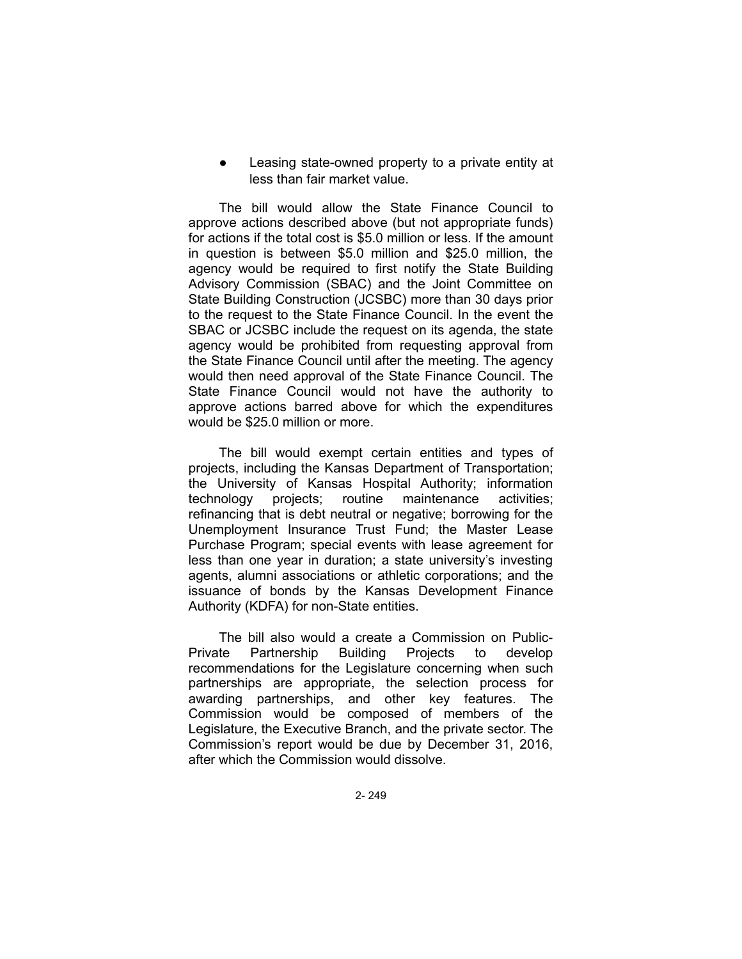Leasing state-owned property to a private entity at less than fair market value.

The bill would allow the State Finance Council to approve actions described above (but not appropriate funds) for actions if the total cost is \$5.0 million or less. If the amount in question is between \$5.0 million and \$25.0 million, the agency would be required to first notify the State Building Advisory Commission (SBAC) and the Joint Committee on State Building Construction (JCSBC) more than 30 days prior to the request to the State Finance Council. In the event the SBAC or JCSBC include the request on its agenda, the state agency would be prohibited from requesting approval from the State Finance Council until after the meeting. The agency would then need approval of the State Finance Council. The State Finance Council would not have the authority to approve actions barred above for which the expenditures would be \$25.0 million or more.

The bill would exempt certain entities and types of projects, including the Kansas Department of Transportation; the University of Kansas Hospital Authority; information technology projects; routine maintenance activities; refinancing that is debt neutral or negative; borrowing for the Unemployment Insurance Trust Fund; the Master Lease Purchase Program; special events with lease agreement for less than one year in duration; a state university's investing agents, alumni associations or athletic corporations; and the issuance of bonds by the Kansas Development Finance Authority (KDFA) for non-State entities.

The bill also would a create a Commission on Public-Private Partnership Building Projects to develop recommendations for the Legislature concerning when such partnerships are appropriate, the selection process for awarding partnerships, and other key features. The Commission would be composed of members of the Legislature, the Executive Branch, and the private sector. The Commission's report would be due by December 31, 2016, after which the Commission would dissolve.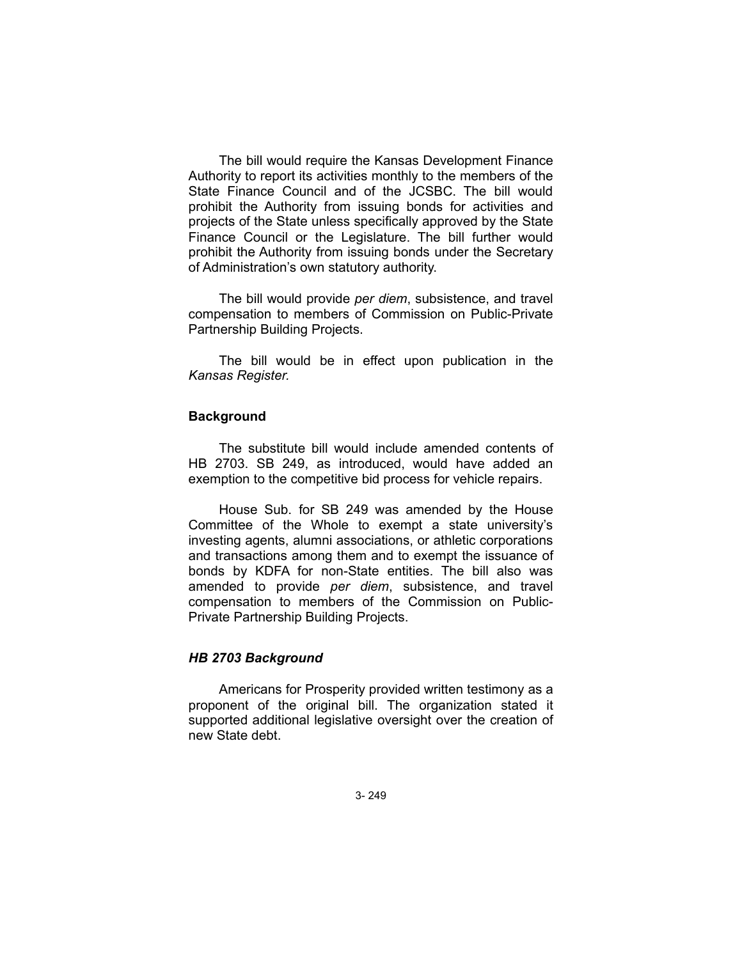The bill would require the Kansas Development Finance Authority to report its activities monthly to the members of the State Finance Council and of the JCSBC. The bill would prohibit the Authority from issuing bonds for activities and projects of the State unless specifically approved by the State Finance Council or the Legislature. The bill further would prohibit the Authority from issuing bonds under the Secretary of Administration's own statutory authority.

The bill would provide *per diem*, subsistence, and travel compensation to members of Commission on Public-Private Partnership Building Projects.

The bill would be in effect upon publication in the *Kansas Register.*

## **Background**

The substitute bill would include amended contents of HB 2703. SB 249, as introduced, would have added an exemption to the competitive bid process for vehicle repairs.

House Sub. for SB 249 was amended by the House Committee of the Whole to exempt a state university's investing agents, alumni associations, or athletic corporations and transactions among them and to exempt the issuance of bonds by KDFA for non-State entities. The bill also was amended to provide *per diem*, subsistence, and travel compensation to members of the Commission on Public-Private Partnership Building Projects.

### *HB 2703 Background*

Americans for Prosperity provided written testimony as a proponent of the original bill. The organization stated it supported additional legislative oversight over the creation of new State debt.